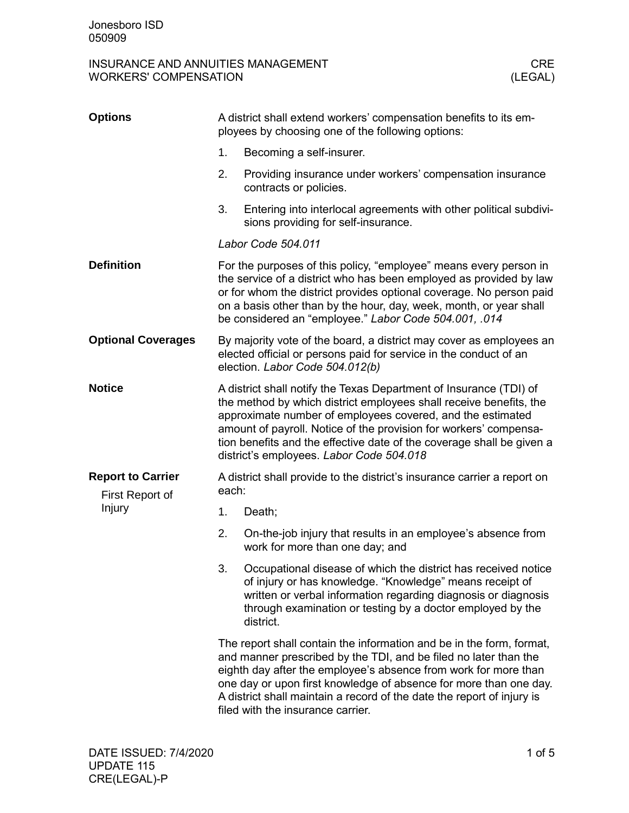# INSURANCE AND ANNUITIES MANAGEMENT GREENT CREATERS' COMPENSATION CREATERS' COMPONENT CREATERS' COMPONENT CREAT<br>
CLEGAL) WORKERS' COMPENSATION

| <b>Options</b>                                        | A district shall extend workers' compensation benefits to its em-<br>ployees by choosing one of the following options:                                                                                                                                                                                                                                                                           |                                                                                                                                                                                                                                                                         |  |
|-------------------------------------------------------|--------------------------------------------------------------------------------------------------------------------------------------------------------------------------------------------------------------------------------------------------------------------------------------------------------------------------------------------------------------------------------------------------|-------------------------------------------------------------------------------------------------------------------------------------------------------------------------------------------------------------------------------------------------------------------------|--|
|                                                       | 1.                                                                                                                                                                                                                                                                                                                                                                                               | Becoming a self-insurer.                                                                                                                                                                                                                                                |  |
|                                                       | 2.                                                                                                                                                                                                                                                                                                                                                                                               | Providing insurance under workers' compensation insurance<br>contracts or policies.                                                                                                                                                                                     |  |
|                                                       | 3.                                                                                                                                                                                                                                                                                                                                                                                               | Entering into interlocal agreements with other political subdivi-<br>sions providing for self-insurance.                                                                                                                                                                |  |
|                                                       | Labor Code 504.011                                                                                                                                                                                                                                                                                                                                                                               |                                                                                                                                                                                                                                                                         |  |
| <b>Definition</b>                                     | For the purposes of this policy, "employee" means every person in<br>the service of a district who has been employed as provided by law<br>or for whom the district provides optional coverage. No person paid<br>on a basis other than by the hour, day, week, month, or year shall<br>be considered an "employee." Labor Code 504.001, .014                                                    |                                                                                                                                                                                                                                                                         |  |
| <b>Optional Coverages</b>                             | By majority vote of the board, a district may cover as employees an<br>elected official or persons paid for service in the conduct of an<br>election. Labor Code 504.012(b)                                                                                                                                                                                                                      |                                                                                                                                                                                                                                                                         |  |
| <b>Notice</b>                                         | A district shall notify the Texas Department of Insurance (TDI) of<br>the method by which district employees shall receive benefits, the<br>approximate number of employees covered, and the estimated<br>amount of payroll. Notice of the provision for workers' compensa-<br>tion benefits and the effective date of the coverage shall be given a<br>district's employees. Labor Code 504.018 |                                                                                                                                                                                                                                                                         |  |
| <b>Report to Carrier</b><br>First Report of<br>Injury | A district shall provide to the district's insurance carrier a report on<br>each:                                                                                                                                                                                                                                                                                                                |                                                                                                                                                                                                                                                                         |  |
|                                                       | 1.                                                                                                                                                                                                                                                                                                                                                                                               | Death;                                                                                                                                                                                                                                                                  |  |
|                                                       | 2.                                                                                                                                                                                                                                                                                                                                                                                               | On-the-job injury that results in an employee's absence from<br>work for more than one day; and                                                                                                                                                                         |  |
|                                                       | 3.                                                                                                                                                                                                                                                                                                                                                                                               | Occupational disease of which the district has received notice<br>of injury or has knowledge. "Knowledge" means receipt of<br>written or verbal information regarding diagnosis or diagnosis<br>through examination or testing by a doctor employed by the<br>district. |  |
|                                                       | The report shall contain the information and be in the form, format,<br>and manner prescribed by the TDI, and be filed no later than the<br>eighth day after the employee's absence from work for more than<br>one day or upon first knowledge of absence for more than one day.<br>A district shall maintain a record of the date the report of injury is<br>filed with the insurance carrier.  |                                                                                                                                                                                                                                                                         |  |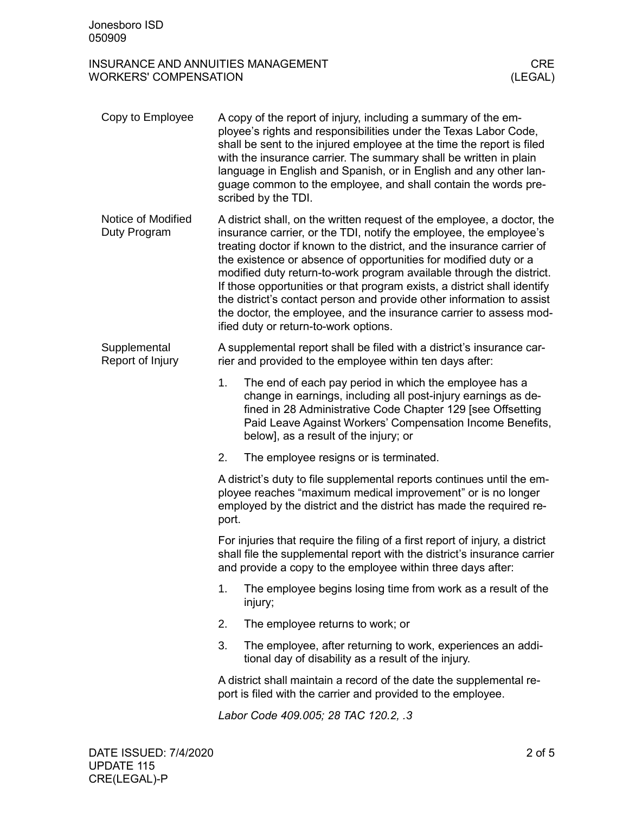# INSURANCE AND ANNUITIES MANAGEMENT GREATER CREATERS' COMPENSATION CREATERS' COMPENT CREATERS (LEGAL) WORKERS' COMPENSATION

| Copy to Employee                   | A copy of the report of injury, including a summary of the em-<br>ployee's rights and responsibilities under the Texas Labor Code,<br>shall be sent to the injured employee at the time the report is filed<br>with the insurance carrier. The summary shall be written in plain<br>language in English and Spanish, or in English and any other lan-<br>guage common to the employee, and shall contain the words pre-<br>scribed by the TDI.                                                                                                                                                                                          |  |  |  |
|------------------------------------|-----------------------------------------------------------------------------------------------------------------------------------------------------------------------------------------------------------------------------------------------------------------------------------------------------------------------------------------------------------------------------------------------------------------------------------------------------------------------------------------------------------------------------------------------------------------------------------------------------------------------------------------|--|--|--|
| Notice of Modified<br>Duty Program | A district shall, on the written request of the employee, a doctor, the<br>insurance carrier, or the TDI, notify the employee, the employee's<br>treating doctor if known to the district, and the insurance carrier of<br>the existence or absence of opportunities for modified duty or a<br>modified duty return-to-work program available through the district.<br>If those opportunities or that program exists, a district shall identify<br>the district's contact person and provide other information to assist<br>the doctor, the employee, and the insurance carrier to assess mod-<br>ified duty or return-to-work options. |  |  |  |
| Supplemental<br>Report of Injury   | A supplemental report shall be filed with a district's insurance car-<br>rier and provided to the employee within ten days after:                                                                                                                                                                                                                                                                                                                                                                                                                                                                                                       |  |  |  |
|                                    | 1.<br>The end of each pay period in which the employee has a<br>change in earnings, including all post-injury earnings as de-<br>fined in 28 Administrative Code Chapter 129 [see Offsetting<br>Paid Leave Against Workers' Compensation Income Benefits,<br>below], as a result of the injury; or                                                                                                                                                                                                                                                                                                                                      |  |  |  |
|                                    | 2.<br>The employee resigns or is terminated.                                                                                                                                                                                                                                                                                                                                                                                                                                                                                                                                                                                            |  |  |  |
|                                    | A district's duty to file supplemental reports continues until the em-<br>ployee reaches "maximum medical improvement" or is no longer<br>employed by the district and the district has made the required re-<br>port.                                                                                                                                                                                                                                                                                                                                                                                                                  |  |  |  |
|                                    | For injuries that require the filing of a first report of injury, a district<br>shall file the supplemental report with the district's insurance carrier<br>and provide a copy to the employee within three days after:                                                                                                                                                                                                                                                                                                                                                                                                                 |  |  |  |
|                                    | 1.<br>The employee begins losing time from work as a result of the<br>injury;                                                                                                                                                                                                                                                                                                                                                                                                                                                                                                                                                           |  |  |  |
|                                    | 2.<br>The employee returns to work; or                                                                                                                                                                                                                                                                                                                                                                                                                                                                                                                                                                                                  |  |  |  |
|                                    | 3.<br>The employee, after returning to work, experiences an addi-<br>tional day of disability as a result of the injury.                                                                                                                                                                                                                                                                                                                                                                                                                                                                                                                |  |  |  |
|                                    | A district shall maintain a record of the date the supplemental re-<br>port is filed with the carrier and provided to the employee.                                                                                                                                                                                                                                                                                                                                                                                                                                                                                                     |  |  |  |
|                                    | Labor Code 409.005; 28 TAC 120.2, .3                                                                                                                                                                                                                                                                                                                                                                                                                                                                                                                                                                                                    |  |  |  |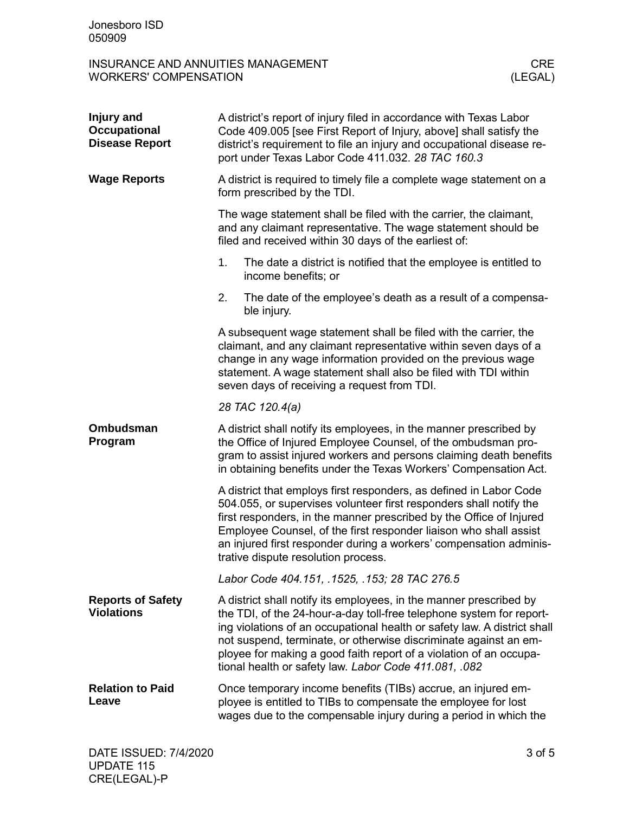# INSURANCE AND ANNUITIES MANAGEMENT GREENT CREATERS' COMPENSATION CREATERS' COMPONENT CREATERS' COMPONENT CREAT<br>
CLEGAL) WORKERS' COMPENSATION

| Injury and<br><b>Occupational</b><br><b>Disease Report</b> | A district's report of injury filed in accordance with Texas Labor<br>Code 409.005 [see First Report of Injury, above] shall satisfy the<br>district's requirement to file an injury and occupational disease re-<br>port under Texas Labor Code 411.032. 28 TAC 160.3                                                                                                                                                    |  |  |
|------------------------------------------------------------|---------------------------------------------------------------------------------------------------------------------------------------------------------------------------------------------------------------------------------------------------------------------------------------------------------------------------------------------------------------------------------------------------------------------------|--|--|
| <b>Wage Reports</b>                                        | A district is required to timely file a complete wage statement on a<br>form prescribed by the TDI.                                                                                                                                                                                                                                                                                                                       |  |  |
|                                                            | The wage statement shall be filed with the carrier, the claimant,<br>and any claimant representative. The wage statement should be<br>filed and received within 30 days of the earliest of:                                                                                                                                                                                                                               |  |  |
|                                                            | 1.<br>The date a district is notified that the employee is entitled to<br>income benefits; or                                                                                                                                                                                                                                                                                                                             |  |  |
|                                                            | 2.<br>The date of the employee's death as a result of a compensa-<br>ble injury.                                                                                                                                                                                                                                                                                                                                          |  |  |
|                                                            | A subsequent wage statement shall be filed with the carrier, the<br>claimant, and any claimant representative within seven days of a<br>change in any wage information provided on the previous wage<br>statement. A wage statement shall also be filed with TDI within<br>seven days of receiving a request from TDI.                                                                                                    |  |  |
|                                                            | 28 TAC 120.4(a)                                                                                                                                                                                                                                                                                                                                                                                                           |  |  |
| <b>Ombudsman</b><br>Program                                | A district shall notify its employees, in the manner prescribed by<br>the Office of Injured Employee Counsel, of the ombudsman pro-<br>gram to assist injured workers and persons claiming death benefits<br>in obtaining benefits under the Texas Workers' Compensation Act.                                                                                                                                             |  |  |
|                                                            | A district that employs first responders, as defined in Labor Code<br>504.055, or supervises volunteer first responders shall notify the<br>first responders, in the manner prescribed by the Office of Injured<br>Employee Counsel, of the first responder liaison who shall assist<br>an injured first responder during a workers' compensation adminis-<br>trative dispute resolution process.                         |  |  |
|                                                            | Labor Code 404.151, .1525, .153; 28 TAC 276.5                                                                                                                                                                                                                                                                                                                                                                             |  |  |
| <b>Reports of Safety</b><br><b>Violations</b>              | A district shall notify its employees, in the manner prescribed by<br>the TDI, of the 24-hour-a-day toll-free telephone system for report-<br>ing violations of an occupational health or safety law. A district shall<br>not suspend, terminate, or otherwise discriminate against an em-<br>ployee for making a good faith report of a violation of an occupa-<br>tional health or safety law. Labor Code 411.081, .082 |  |  |
| <b>Relation to Paid</b><br>Leave                           | Once temporary income benefits (TIBs) accrue, an injured em-<br>ployee is entitled to TIBs to compensate the employee for lost<br>wages due to the compensable injury during a period in which the                                                                                                                                                                                                                        |  |  |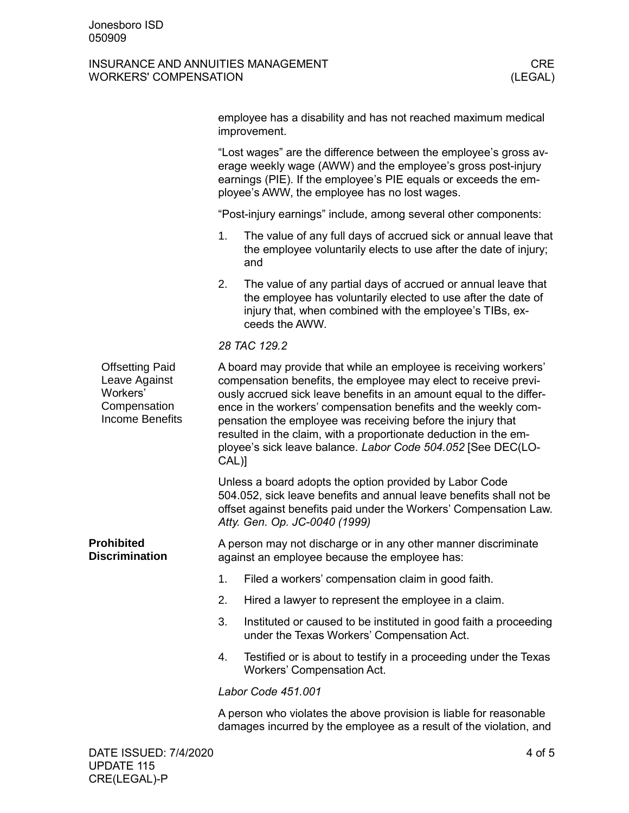## INSURANCE AND ANNUITIES MANAGEMENT GREATER CREATERS' COMPENSATION CREATERS' COMPENT CREATERS (LEGAL) WORKERS' COMPENSATION

|                                                                                               | employee has a disability and has not reached maximum medical<br>improvement.                                                                                                                                                                                                                                                                                                                                                                                                              |                                                                                                                                                                                                              |  |  |
|-----------------------------------------------------------------------------------------------|--------------------------------------------------------------------------------------------------------------------------------------------------------------------------------------------------------------------------------------------------------------------------------------------------------------------------------------------------------------------------------------------------------------------------------------------------------------------------------------------|--------------------------------------------------------------------------------------------------------------------------------------------------------------------------------------------------------------|--|--|
|                                                                                               | "Lost wages" are the difference between the employee's gross av-<br>erage weekly wage (AWW) and the employee's gross post-injury<br>earnings (PIE). If the employee's PIE equals or exceeds the em-<br>ployee's AWW, the employee has no lost wages.                                                                                                                                                                                                                                       |                                                                                                                                                                                                              |  |  |
|                                                                                               | "Post-injury earnings" include, among several other components:                                                                                                                                                                                                                                                                                                                                                                                                                            |                                                                                                                                                                                                              |  |  |
|                                                                                               | 1.                                                                                                                                                                                                                                                                                                                                                                                                                                                                                         | The value of any full days of accrued sick or annual leave that<br>the employee voluntarily elects to use after the date of injury;<br>and                                                                   |  |  |
|                                                                                               | 2.                                                                                                                                                                                                                                                                                                                                                                                                                                                                                         | The value of any partial days of accrued or annual leave that<br>the employee has voluntarily elected to use after the date of<br>injury that, when combined with the employee's TIBs, ex-<br>ceeds the AWW. |  |  |
|                                                                                               |                                                                                                                                                                                                                                                                                                                                                                                                                                                                                            | 28 TAC 129.2                                                                                                                                                                                                 |  |  |
| <b>Offsetting Paid</b><br>Leave Against<br>Workers'<br>Compensation<br><b>Income Benefits</b> | A board may provide that while an employee is receiving workers'<br>compensation benefits, the employee may elect to receive previ-<br>ously accrued sick leave benefits in an amount equal to the differ-<br>ence in the workers' compensation benefits and the weekly com-<br>pensation the employee was receiving before the injury that<br>resulted in the claim, with a proportionate deduction in the em-<br>ployee's sick leave balance. Labor Code 504.052 [See DEC(LO-<br>$CAL$ ) |                                                                                                                                                                                                              |  |  |
|                                                                                               | Unless a board adopts the option provided by Labor Code<br>504.052, sick leave benefits and annual leave benefits shall not be<br>offset against benefits paid under the Workers' Compensation Law.<br>Atty. Gen. Op. JC-0040 (1999)                                                                                                                                                                                                                                                       |                                                                                                                                                                                                              |  |  |
| <b>Prohibited</b><br><b>Discrimination</b>                                                    | A person may not discharge or in any other manner discriminate<br>against an employee because the employee has:                                                                                                                                                                                                                                                                                                                                                                            |                                                                                                                                                                                                              |  |  |
|                                                                                               | 1.                                                                                                                                                                                                                                                                                                                                                                                                                                                                                         | Filed a workers' compensation claim in good faith.                                                                                                                                                           |  |  |
|                                                                                               | 2.                                                                                                                                                                                                                                                                                                                                                                                                                                                                                         | Hired a lawyer to represent the employee in a claim.                                                                                                                                                         |  |  |
|                                                                                               | 3.                                                                                                                                                                                                                                                                                                                                                                                                                                                                                         | Instituted or caused to be instituted in good faith a proceeding<br>under the Texas Workers' Compensation Act.                                                                                               |  |  |
|                                                                                               | 4.                                                                                                                                                                                                                                                                                                                                                                                                                                                                                         | Testified or is about to testify in a proceeding under the Texas<br><b>Workers' Compensation Act.</b>                                                                                                        |  |  |
|                                                                                               | Labor Code 451.001                                                                                                                                                                                                                                                                                                                                                                                                                                                                         |                                                                                                                                                                                                              |  |  |
|                                                                                               |                                                                                                                                                                                                                                                                                                                                                                                                                                                                                            | A person who violates the above provision is liable for reasonable<br>damages incurred by the employee as a result of the violation, and                                                                     |  |  |
| DATE ISSUED: 7/4/2020                                                                         |                                                                                                                                                                                                                                                                                                                                                                                                                                                                                            | 4 of 5                                                                                                                                                                                                       |  |  |